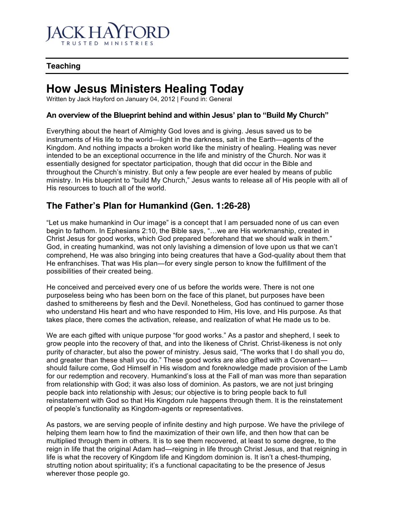

## **Teaching**

# **How Jesus Ministers Healing Today**

Written by Jack Hayford on January 04, 2012 | Found in: General

#### **An overview of the Blueprint behind and within Jesus' plan to "Build My Church"**

Everything about the heart of Almighty God loves and is giving. Jesus saved us to be instruments of His life to the world—light in the darkness, salt in the Earth—agents of the Kingdom. And nothing impacts a broken world like the ministry of healing. Healing was never intended to be an exceptional occurrence in the life and ministry of the Church. Nor was it essentially designed for spectator participation, though that did occur in the Bible and throughout the Church's ministry. But only a few people are ever healed by means of public ministry. In His blueprint to "build My Church," Jesus wants to release all of His people with all of His resources to touch all of the world.

## **The Father's Plan for Humankind (Gen. 1:26-28)**

"Let us make humankind in Our image" is a concept that I am persuaded none of us can even begin to fathom. In Ephesians 2:10, the Bible says, "...we are His workmanship, created in Christ Jesus for good works, which God prepared beforehand that we should walk in them." God, in creating humankind, was not only lavishing a dimension of love upon us that we can't comprehend, He was also bringing into being creatures that have a God-quality about them that He enfranchises. That was His plan—for every single person to know the fulfillment of the possibilities of their created being.

He conceived and perceived every one of us before the worlds were. There is not one purposeless being who has been born on the face of this planet, but purposes have been dashed to smithereens by flesh and the Devil. Nonetheless, God has continued to garner those who understand His heart and who have responded to Him, His love, and His purpose. As that takes place, there comes the activation, release, and realization of what He made us to be.

We are each gifted with unique purpose "for good works." As a pastor and shepherd, I seek to grow people into the recovery of that, and into the likeness of Christ. Christ-likeness is not only purity of character, but also the power of ministry. Jesus said, "The works that I do shall you do, and greater than these shall you do." These good works are also gifted with a Covenant should failure come, God Himself in His wisdom and foreknowledge made provision of the Lamb for our redemption and recovery. Humankind's loss at the Fall of man was more than separation from relationship with God; it was also loss of dominion. As pastors, we are not just bringing people back into relationship with Jesus; our objective is to bring people back to full reinstatement with God so that His Kingdom rule happens through them. It is the reinstatement of people's functionality as Kingdom-agents or representatives.

As pastors, we are serving people of infinite destiny and high purpose. We have the privilege of helping them learn how to find the maximization of their own life, and then how that can be multiplied through them in others. It is to see them recovered, at least to some degree, to the reign in life that the original Adam had—reigning in life through Christ Jesus, and that reigning in life is what the recovery of Kingdom life and Kingdom dominion is. It isn't a chest-thumping, strutting notion about spirituality; it's a functional capacitating to be the presence of Jesus wherever those people go.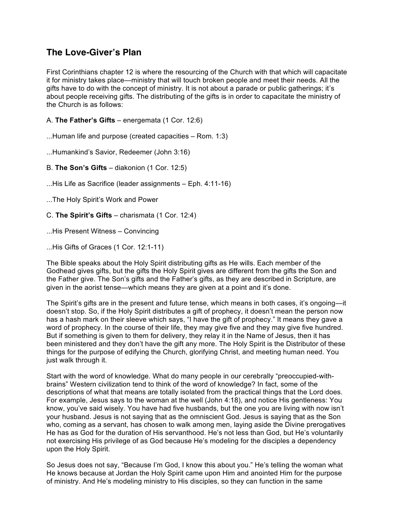# **The Love-Giver's Plan**

First Corinthians chapter 12 is where the resourcing of the Church with that which will capacitate it for ministry takes place—ministry that will touch broken people and meet their needs. All the gifts have to do with the concept of ministry. It is not about a parade or public gatherings; it's about people receiving gifts. The distributing of the gifts is in order to capacitate the ministry of the Church is as follows:

A. **The Father's Gifts** – energemata (1 Cor. 12:6)

...Human life and purpose (created capacities – Rom. 1:3)

...Humankind's Savior, Redeemer (John 3:16)

B. **The Son's Gifts** – diakonion (1 Cor. 12:5)

...His Life as Sacrifice (leader assignments – Eph. 4:11-16)

...The Holy Spirit's Work and Power

C. **The Spirit's Gifts** – charismata (1 Cor. 12:4)

...His Present Witness – Convincing

...His Gifts of Graces (1 Cor. 12:1-11)

The Bible speaks about the Holy Spirit distributing gifts as He wills. Each member of the Godhead gives gifts, but the gifts the Holy Spirit gives are different from the gifts the Son and the Father give. The Son's gifts and the Father's gifts, as they are described in Scripture, are given in the aorist tense—which means they are given at a point and it's done.

The Spirit's gifts are in the present and future tense, which means in both cases, it's ongoing—it doesn't stop. So, if the Holy Spirit distributes a gift of prophecy, it doesn't mean the person now has a hash mark on their sleeve which says, "I have the gift of prophecy." It means they gave a word of prophecy. In the course of their life, they may give five and they may give five hundred. But if something is given to them for delivery, they relay it in the Name of Jesus, then it has been ministered and they don't have the gift any more. The Holy Spirit is the Distributor of these things for the purpose of edifying the Church, glorifying Christ, and meeting human need. You just walk through it.

Start with the word of knowledge. What do many people in our cerebrally "preoccupied-withbrains" Western civilization tend to think of the word of knowledge? In fact, some of the descriptions of what that means are totally isolated from the practical things that the Lord does. For example, Jesus says to the woman at the well (John 4:18), and notice His gentleness: You know, you've said wisely. You have had five husbands, but the one you are living with now isn't your husband. Jesus is not saying that as the omniscient God. Jesus is saying that as the Son who, coming as a servant, has chosen to walk among men, laying aside the Divine prerogatives He has as God for the duration of His servanthood. He's not less than God, but He's voluntarily not exercising His privilege of as God because He's modeling for the disciples a dependency upon the Holy Spirit.

So Jesus does not say, "Because I'm God, I know this about you." He's telling the woman what He knows because at Jordan the Holy Spirit came upon Him and anointed Him for the purpose of ministry. And He's modeling ministry to His disciples, so they can function in the same